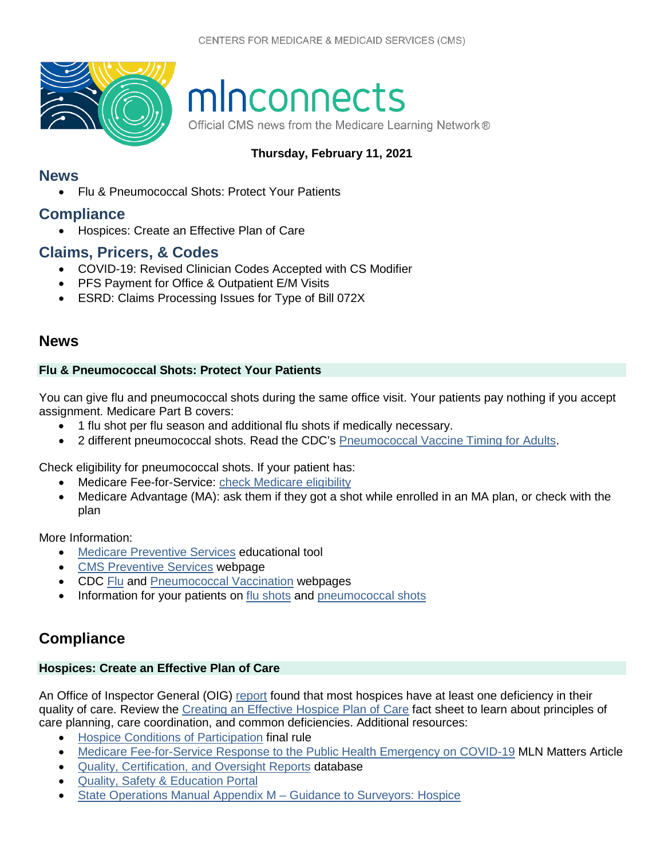

# minconnects

Official CMS news from the Medicare Learning Network®

## **Thursday, February 11, 2021**

## **[News](#page-0-0)**

• [Flu & Pneumococcal Shots: Protect Your Patients](#page-0-1)

## **[Compliance](#page-0-2)**

• [Hospices: Create an Effective Plan of Care](#page-0-3)

# **[Claims, Pricers, & Codes](#page-1-0)**

- [COVID-19: Revised Clinician Codes Accepted with CS Modifier](#page-1-1)
- [PFS Payment for Office & Outpatient E/M Visits](#page-1-2)
- [ESRD: Claims Processing Issues for Type of Bill 072X](#page-1-3)

# <span id="page-0-0"></span>**News**

## <span id="page-0-1"></span>**Flu & Pneumococcal Shots: Protect Your Patients**

You can give flu and pneumococcal shots during the same office visit. Your patients pay nothing if you accept assignment. Medicare Part B covers:

- 1 flu shot per flu season and additional flu shots if medically necessary.
- 2 different pneumococcal shots. Read the CDC's [Pneumococcal Vaccine Timing for Adults.](https://www.cdc.gov/vaccines/vpd/pneumo/downloads/pneumo-vaccine-timing.pdf)

Check eligibility for pneumococcal shots. If your patient has:

- Medicare Fee-for-Service: check Medicare eligibility
- Medicare Advantage (MA): ask them if they got a shot while enrolled in an MA plan, or check with the plan

More Information:

- [Medicare Preventive Services](https://www.cms.gov/Medicare/Prevention/PrevntionGenInfo/medicare-preventive-services/MPS-QuickReferenceChart-1.html) educational tool
- [CMS Preventive Services](https://www.cms.gov/Medicare/Prevention/PrevntionGenInfo/index.html) webpage
- CDC [Flu](http://www.cdc.gov/FLU/) and [Pneumococcal Vaccination](https://www.cdc.gov/vaccines/vpd/pneumo/index.html) webpages
- Information for your patients on [flu shots](https://www.medicare.gov/coverage/flu-shots) and [pneumococcal shots](https://www.medicare.gov/coverage/pneumococcal-shots)

# <span id="page-0-2"></span>**Compliance**

## <span id="page-0-3"></span>**Hospices: Create an Effective Plan of Care**

An Office of Inspector General (OIG) [report](https://oig.hhs.gov/oei/reports/oei-02-17-00020.pdf) found that most hospices have at least one deficiency in their quality of care. Review the [Creating an Effective Hospice Plan of Care](https://www.cms.gov/files/document/creating-effective-hospice-plan-care.pdf) fact sheet to learn about principles of care planning, care coordination, and common deficiencies. Additional resources:

- [Hospice Conditions of Participation](https://www.govinfo.gov/content/pkg/FR-2008-06-05/pdf/08-1305.pdf) final rule
- [Medicare Fee-for-Service Response to the Public Health Emergency on COVID-19](https://www.cms.gov/files/document/se20011.pdf) MLN Matters Article
- [Quality, Certification, and Oversight Reports](https://qcor.cms.gov/main.jsp) database
- [Quality, Safety & Education Portal](https://qsep.cms.gov/welcome.aspx)
- [State Operations Manual Appendix M Guidance](https://www.cms.gov/Regulations-and-Guidance/Guidance/Manuals/downloads/som107ap_m_hospice.pdf) to Surveyors: Hospice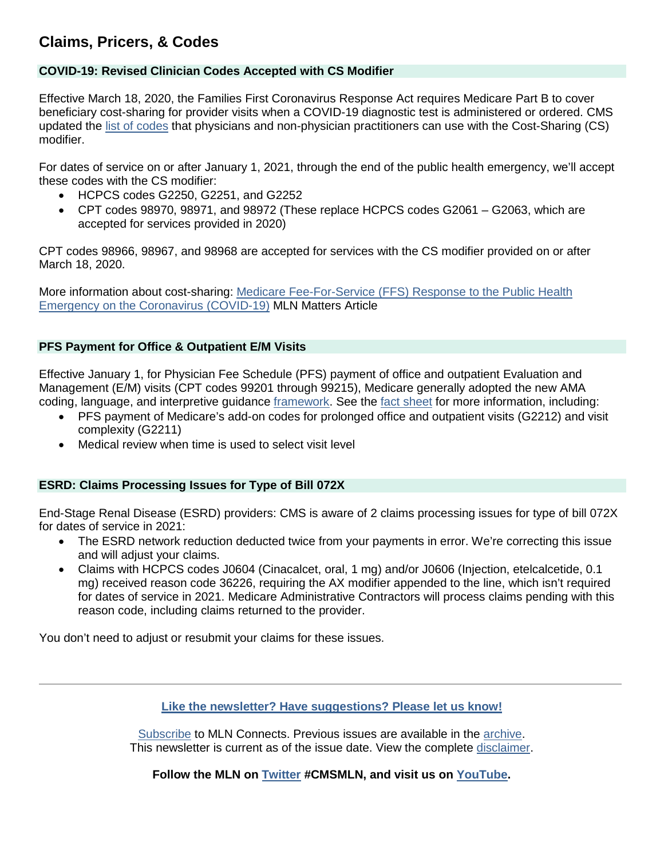# <span id="page-1-0"></span>**Claims, Pricers, & Codes**

### <span id="page-1-1"></span>**COVID-19: Revised Clinician Codes Accepted with CS Modifier**

Effective March 18, 2020, the Families First Coronavirus Response Act requires Medicare Part B to cover beneficiary cost-sharing for provider visits when a COVID-19 diagnostic test is administered or ordered. CMS updated the [list of codes](https://www.cms.gov/files/zip/cs-modifier-hcpcs-codes-physicians-non-physician-practitioners.zip) that physicians and non-physician practitioners can use with the Cost-Sharing (CS) modifier.

For dates of service on or after January 1, 2021, through the end of the public health emergency, we'll accept these codes with the CS modifier:

- HCPCS codes G2250, G2251, and G2252
- CPT codes 98970, 98971, and 98972 (These replace HCPCS codes G2061 G2063, which are accepted for services provided in 2020)

CPT codes 98966, 98967, and 98968 are accepted for services with the CS modifier provided on or after March 18, 2020.

More information about cost-sharing: [Medicare Fee-For-Service \(FFS\) Response to the Public Health](https://www.cms.gov/files/document/se20011.pdf)  [Emergency on the Coronavirus \(COVID-19\)](https://www.cms.gov/files/document/se20011.pdf) MLN Matters Article

#### <span id="page-1-2"></span>**PFS Payment for Office & Outpatient E/M Visits**

Effective January 1, for Physician Fee Schedule (PFS) payment of office and outpatient Evaluation and Management (E/M) visits (CPT codes 99201 through 99215), Medicare generally adopted the new AMA coding, language, and interpretive guidance [framework.](https://www.ama-assn.org/practice-management/cpt/cpt-evaluation-and-management) See the [fact sheet](https://www.cms.gov/files/document/physician-fee-schedule-pfs-payment-officeoutpatient-evaluation-and-management-em-visits-fact-sheet.pdf) for more information, including:

- PFS payment of Medicare's add-on codes for prolonged office and outpatient visits (G2212) and visit complexity (G2211)
- Medical review when time is used to select visit level

#### <span id="page-1-3"></span>**ESRD: Claims Processing Issues for Type of Bill 072X**

End-Stage Renal Disease (ESRD) providers: CMS is aware of 2 claims processing issues for type of bill 072X for dates of service in 2021:

- The ESRD network reduction deducted twice from your payments in error. We're correcting this issue and will adjust your claims.
- Claims with HCPCS codes J0604 (Cinacalcet, oral, 1 mg) and/or J0606 (Injection, etelcalcetide, 0.1 mg) received reason code 36226, requiring the AX modifier appended to the line, which isn't required for dates of service in 2021. Medicare Administrative Contractors will process claims pending with this reason code, including claims returned to the provider.

You don't need to adjust or resubmit your claims for these issues.

**[Like the newsletter? Have suggestions? Please let us know!](https://www.surveymonkey.com/r/2021MLNConnectsFeedback)**

[Subscribe](https://www.cms.gov/Outreach-and-Education/Outreach/FFSProvPartProg/Electronic-Mailing-Lists.html) to MLN Connects. Previous issues are available in the [archive.](http://www.cms.gov/Outreach-and-Education/Outreach/FFSProvPartProg/Provider-Partnership-Email-Archive.html) This newsletter is current as of the issue date. View the complete [disclaimer.](https://www.cms.gov/Outreach-and-Education/Medicare-Learning-Network-MLN/MLNProducts/MLN-Product-Disclaimer.html)

**Follow the MLN on [Twitter](https://twitter.com/CMSGov) #CMSMLN, and visit us on [YouTube.](http://www.youtube.com/playlist?list=PLaV7m2-zFKpihHxb4AiWNjbsIUUKCGljK)**